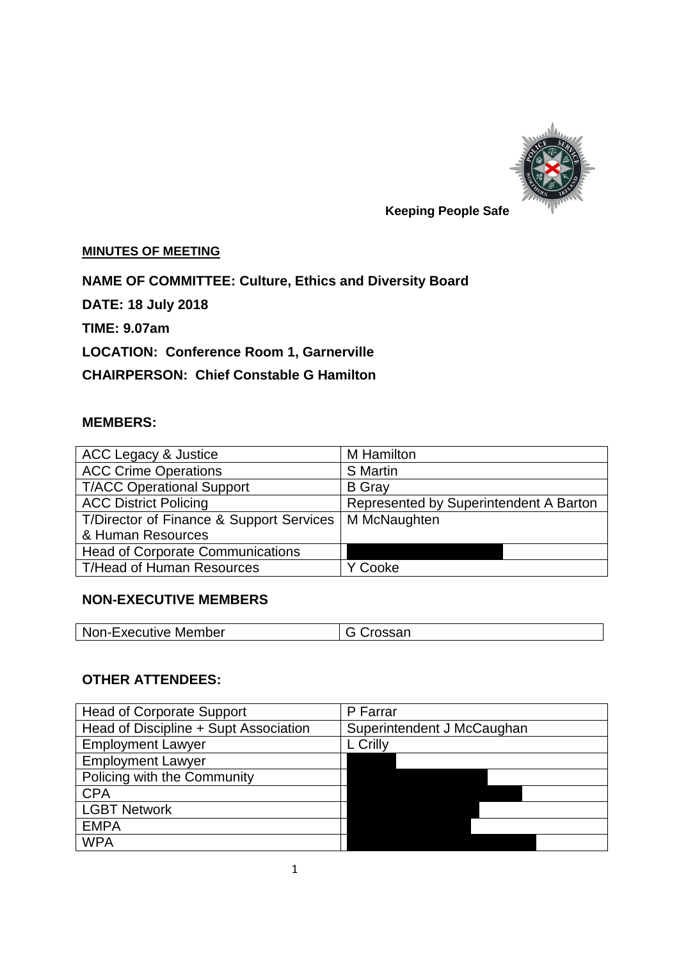

# **Keeping People Safe**

#### **MINUTES OF MEETING**

**NAME OF COMMITTEE: Culture, Ethics and Diversity Board**

**DATE: 18 July 2018**

**TIME: 9.07am**

**LOCATION: Conference Room 1, Garnerville**

**CHAIRPERSON: Chief Constable G Hamilton**

### **MEMBERS:**

| ACC Legacy & Justice                     | M Hamilton                             |
|------------------------------------------|----------------------------------------|
| <b>ACC Crime Operations</b>              | <b>S</b> Martin                        |
| <b>T/ACC Operational Support</b>         | <b>B</b> Gray                          |
| <b>ACC District Policing</b>             | Represented by Superintendent A Barton |
| T/Director of Finance & Support Services | M McNaughten                           |
| & Human Resources                        |                                        |
| <b>Head of Corporate Communications</b>  |                                        |
| <b>T/Head of Human Resources</b>         | ' Cooke                                |

### **NON-EXECUTIVE MEMBERS**

| upoar | <b>Non-Executive Member</b> | `roccon |
|-------|-----------------------------|---------|
|-------|-----------------------------|---------|

### **OTHER ATTENDEES:**

| <b>Head of Corporate Support</b>      | P Farrar                   |
|---------------------------------------|----------------------------|
| Head of Discipline + Supt Association | Superintendent J McCaughan |
| <b>Employment Lawyer</b>              | L Crilly                   |
| <b>Employment Lawyer</b>              |                            |
| Policing with the Community           |                            |
| <b>CPA</b>                            |                            |
| <b>LGBT Network</b>                   |                            |
| <b>EMPA</b>                           |                            |
| <b>WPA</b>                            |                            |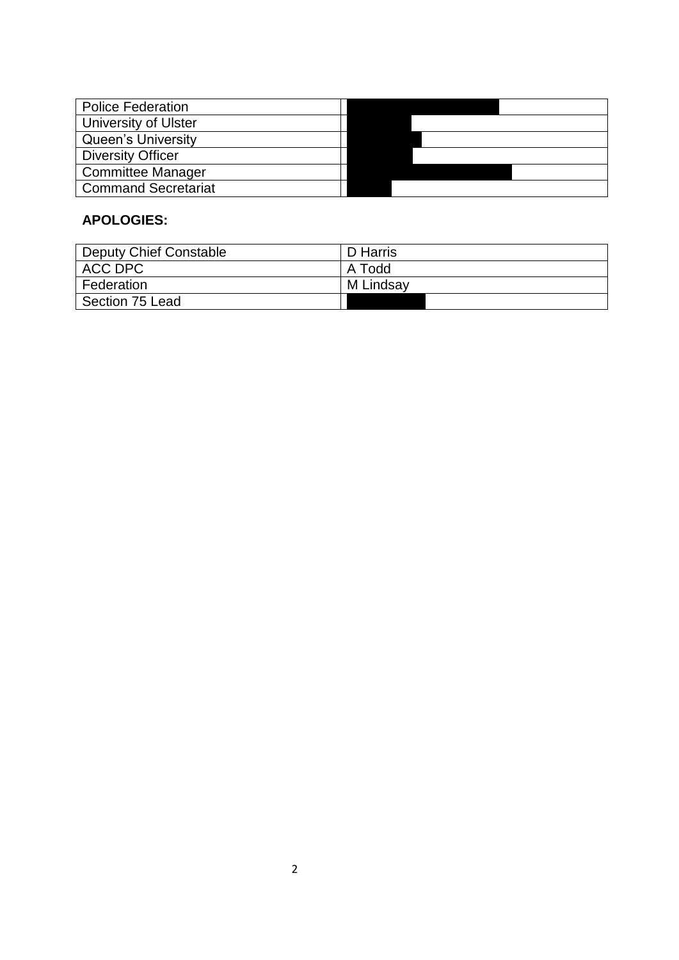| <b>Police Federation</b>    |  |
|-----------------------------|--|
| <b>University of Ulster</b> |  |
| <b>Queen's University</b>   |  |
| <b>Diversity Officer</b>    |  |
| <b>Committee Manager</b>    |  |
| <b>Command Secretariat</b>  |  |

## **APOLOGIES:**

| Deputy Chief Constable | D Harris  |
|------------------------|-----------|
| ACC DPC                | A Todd    |
| Federation             | M Lindsay |
| Section 75 Lead        |           |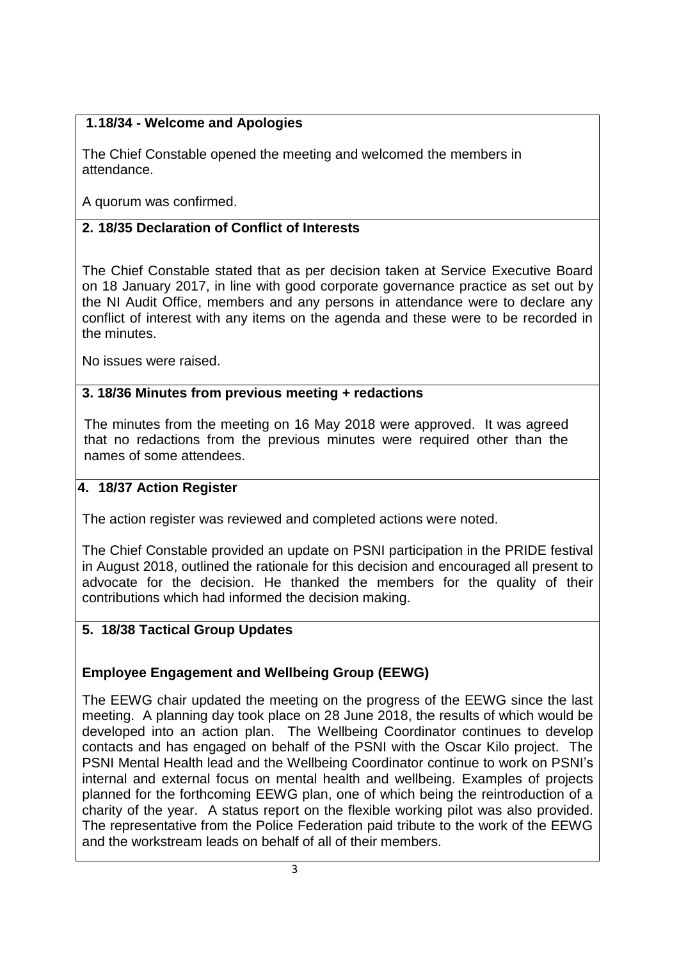## **1.18/34 - Welcome and Apologies**

The Chief Constable opened the meeting and welcomed the members in attendance.

A quorum was confirmed.

# **2. 18/35 Declaration of Conflict of Interests**

The Chief Constable stated that as per decision taken at Service Executive Board on 18 January 2017, in line with good corporate governance practice as set out by the NI Audit Office, members and any persons in attendance were to declare any conflict of interest with any items on the agenda and these were to be recorded in the minutes.

No issues were raised.

## **3. 3. 18/36 Minutes from previous meeting + redactions**

The minutes from the meeting on 16 May 2018 were approved. It was agreed that no redactions from the previous minutes were required other than the names of some attendees.

## **4. 18/37 Action Register**

The action register was reviewed and completed actions were noted.

The Chief Constable provided an update on PSNI participation in the PRIDE festival in August 2018, outlined the rationale for this decision and encouraged all present to advocate for the decision. He thanked the members for the quality of their contributions which had informed the decision making.

# **5. 18/38 Tactical Group Updates**

# **Employee Engagement and Wellbeing Group (EEWG)**

The EEWG chair updated the meeting on the progress of the EEWG since the last meeting. A planning day took place on 28 June 2018, the results of which would be developed into an action plan. The Wellbeing Coordinator continues to develop contacts and has engaged on behalf of the PSNI with the Oscar Kilo project. The PSNI Mental Health lead and the Wellbeing Coordinator continue to work on PSNI's internal and external focus on mental health and wellbeing. Examples of projects planned for the forthcoming EEWG plan, one of which being the reintroduction of a charity of the year. A status report on the flexible working pilot was also provided. The representative from the Police Federation paid tribute to the work of the EEWG and the workstream leads on behalf of all of their members.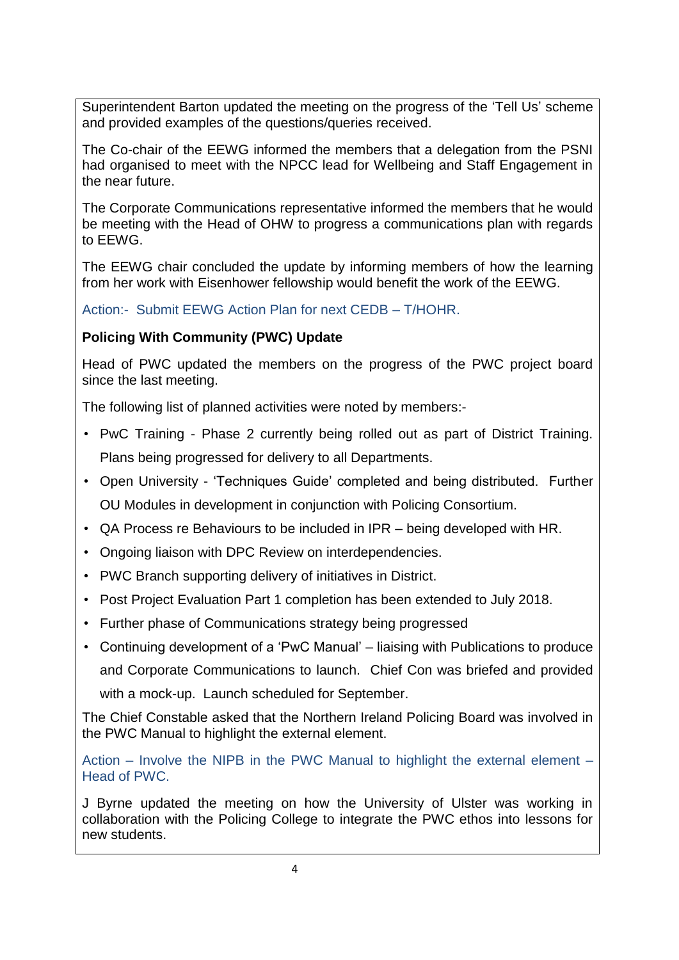Superintendent Barton updated the meeting on the progress of the 'Tell Us' scheme and provided examples of the questions/queries received.

The Co-chair of the EEWG informed the members that a delegation from the PSNI had organised to meet with the NPCC lead for Wellbeing and Staff Engagement in the near future.

The Corporate Communications representative informed the members that he would be meeting with the Head of OHW to progress a communications plan with regards to EEWG.

The EEWG chair concluded the update by informing members of how the learning from her work with Eisenhower fellowship would benefit the work of the EEWG.

Action:- Submit EEWG Action Plan for next CEDB – T/HOHR.

# **Policing With Community (PWC) Update**

Head of PWC updated the members on the progress of the PWC project board since the last meeting.

The following list of planned activities were noted by members:-

- PwC Training Phase 2 currently being rolled out as part of District Training. Plans being progressed for delivery to all Departments.
- Open University 'Techniques Guide' completed and being distributed. Further OU Modules in development in conjunction with Policing Consortium.
- QA Process re Behaviours to be included in IPR being developed with HR.
- Ongoing liaison with DPC Review on interdependencies.
- PWC Branch supporting delivery of initiatives in District.
- Post Project Evaluation Part 1 completion has been extended to July 2018.
- Further phase of Communications strategy being progressed
- Continuing development of a 'PwC Manual' liaising with Publications to produce and Corporate Communications to launch. Chief Con was briefed and provided with a mock-up. Launch scheduled for September.

The Chief Constable asked that the Northern Ireland Policing Board was involved in the PWC Manual to highlight the external element.

Action – Involve the NIPB in the PWC Manual to highlight the external element – Head of PWC.

J Byrne updated the meeting on how the University of Ulster was working in collaboration with the Policing College to integrate the PWC ethos into lessons for new students.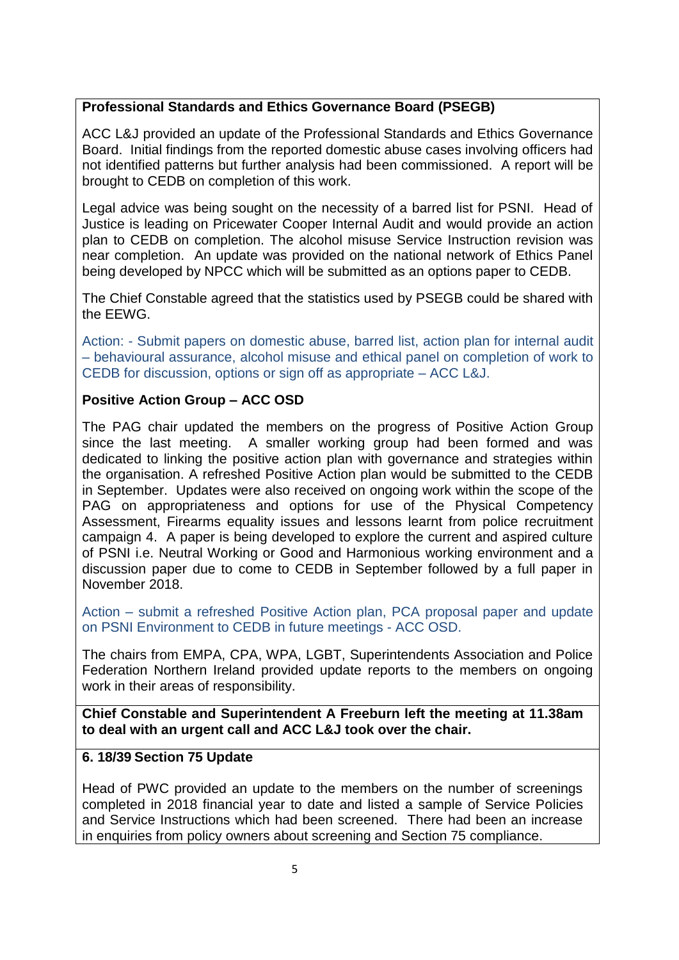## **Professional Standards and Ethics Governance Board (PSEGB)**

ACC L&J provided an update of the Professional Standards and Ethics Governance Board. Initial findings from the reported domestic abuse cases involving officers had not identified patterns but further analysis had been commissioned. A report will be brought to CEDB on completion of this work.

Legal advice was being sought on the necessity of a barred list for PSNI. Head of Justice is leading on Pricewater Cooper Internal Audit and would provide an action plan to CEDB on completion. The alcohol misuse Service Instruction revision was near completion. An update was provided on the national network of Ethics Panel being developed by NPCC which will be submitted as an options paper to CEDB.

The Chief Constable agreed that the statistics used by PSEGB could be shared with the EEWG.

Action: - Submit papers on domestic abuse, barred list, action plan for internal audit – behavioural assurance, alcohol misuse and ethical panel on completion of work to CEDB for discussion, options or sign off as appropriate – ACC L&J.

### **Positive Action Group – ACC OSD**

The PAG chair updated the members on the progress of Positive Action Group since the last meeting. A smaller working group had been formed and was dedicated to linking the positive action plan with governance and strategies within the organisation. A refreshed Positive Action plan would be submitted to the CEDB in September. Updates were also received on ongoing work within the scope of the PAG on appropriateness and options for use of the Physical Competency Assessment, Firearms equality issues and lessons learnt from police recruitment campaign 4. A paper is being developed to explore the current and aspired culture of PSNI i.e. Neutral Working or Good and Harmonious working environment and a discussion paper due to come to CEDB in September followed by a full paper in November 2018.

Action – submit a refreshed Positive Action plan, PCA proposal paper and update on PSNI Environment to CEDB in future meetings - ACC OSD.

The chairs from EMPA, CPA, WPA, LGBT, Superintendents Association and Police Federation Northern Ireland provided update reports to the members on ongoing work in their areas of responsibility.

**Chief Constable and Superintendent A Freeburn left the meeting at 11.38am to deal with an urgent call and ACC L&J took over the chair.**

### **6. 18/39 Section 75 Update**

Head of PWC provided an update to the members on the number of screenings completed in 2018 financial year to date and listed a sample of Service Policies and Service Instructions which had been screened. There had been an increase in enquiries from policy owners about screening and Section 75 compliance.